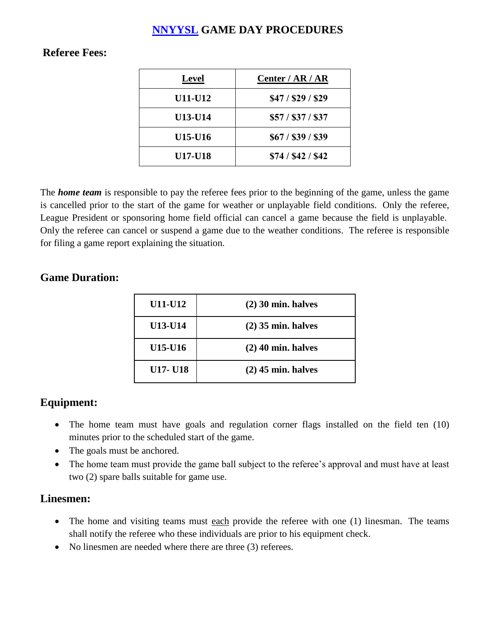# **[NNYYSL](http://nnyysl.com/) GAME DAY PROCEDURES**

### **Referee Fees:**

| <b>Level</b>   | Center / AR / AR   |
|----------------|--------------------|
| U11-U12        | \$47 / \$29 / \$29 |
| <b>U13-U14</b> | \$57 / \$37 / \$37 |
| <b>U15-U16</b> | \$67 / \$39 / \$39 |
| <b>U17-U18</b> | \$74 / \$42 / \$42 |

The *home team* is responsible to pay the referee fees prior to the beginning of the game, unless the game is cancelled prior to the start of the game for weather or unplayable field conditions. Only the referee, League President or sponsoring home field official can cancel a game because the field is unplayable. Only the referee can cancel or suspend a game due to the weather conditions. The referee is responsible for filing a game report explaining the situation.

### **Game Duration:**

| U11-U12         | $(2)$ 30 min. halves |
|-----------------|----------------------|
| <b>U13-U14</b>  | $(2)$ 35 min. halves |
| U15-U16         | $(2)$ 40 min. halves |
| <b>U17- U18</b> | $(2)$ 45 min. halves |

## **Equipment:**

- The home team must have goals and regulation corner flags installed on the field ten (10) minutes prior to the scheduled start of the game.
- The goals must be anchored.
- The home team must provide the game ball subject to the referee's approval and must have at least two (2) spare balls suitable for game use.

### **Linesmen:**

- The home and visiting teams must each provide the referee with one (1) linesman. The teams shall notify the referee who these individuals are prior to his equipment check.
- No linesmen are needed where there are three (3) referees.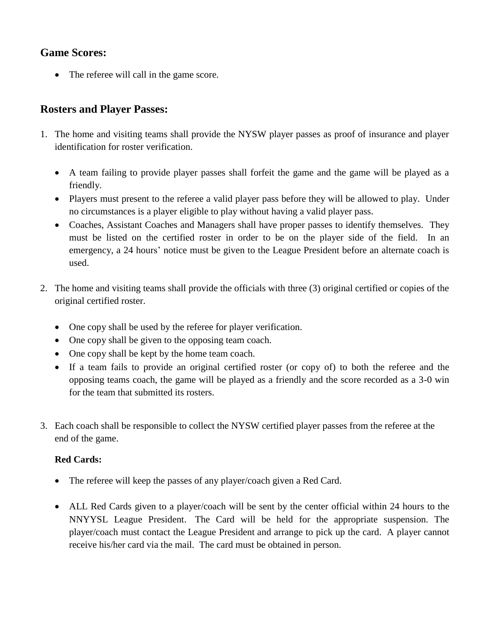## **Game Scores:**

• The referee will call in the game score.

## **Rosters and Player Passes:**

- 1. The home and visiting teams shall provide the NYSW player passes as proof of insurance and player identification for roster verification.
	- A team failing to provide player passes shall forfeit the game and the game will be played as a friendly.
	- Players must present to the referee a valid player pass before they will be allowed to play. Under no circumstances is a player eligible to play without having a valid player pass.
	- Coaches, Assistant Coaches and Managers shall have proper passes to identify themselves. They must be listed on the certified roster in order to be on the player side of the field. In an emergency, a 24 hours' notice must be given to the League President before an alternate coach is used.
- 2. The home and visiting teams shall provide the officials with three (3) original certified or copies of the original certified roster.
	- One copy shall be used by the referee for player verification.
	- One copy shall be given to the opposing team coach.
	- One copy shall be kept by the home team coach.
	- If a team fails to provide an original certified roster (or copy of) to both the referee and the opposing teams coach, the game will be played as a friendly and the score recorded as a 3-0 win for the team that submitted its rosters.
- 3. Each coach shall be responsible to collect the NYSW certified player passes from the referee at the end of the game.

### **Red Cards:**

- The referee will keep the passes of any player/coach given a Red Card.
- ALL Red Cards given to a player/coach will be sent by the center official within 24 hours to the NNYYSL League President. The Card will be held for the appropriate suspension. The player/coach must contact the League President and arrange to pick up the card. A player cannot receive his/her card via the mail. The card must be obtained in person.